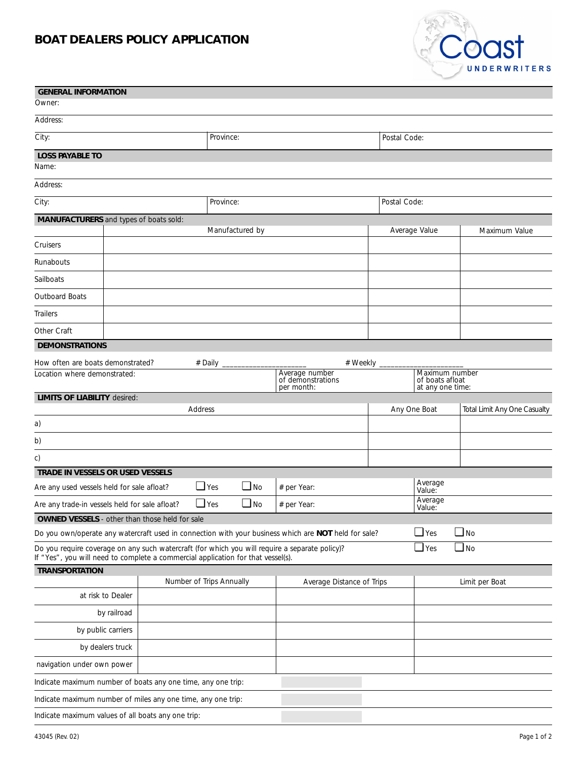## **BOAT DEALERS POLICY APPLICATION**



| <b>GENERAL INFORMATION</b>                                                                                                                                                                                                        |           |                                                               |                                                       |                                  |              |               |                              |  |
|-----------------------------------------------------------------------------------------------------------------------------------------------------------------------------------------------------------------------------------|-----------|---------------------------------------------------------------|-------------------------------------------------------|----------------------------------|--------------|---------------|------------------------------|--|
| Owner:                                                                                                                                                                                                                            |           |                                                               |                                                       |                                  |              |               |                              |  |
| Address:                                                                                                                                                                                                                          |           |                                                               |                                                       |                                  |              |               |                              |  |
| City:                                                                                                                                                                                                                             | Province: |                                                               |                                                       |                                  | Postal Code: |               |                              |  |
| <b>LOSS PAYABLE TO</b>                                                                                                                                                                                                            |           |                                                               |                                                       |                                  |              |               |                              |  |
| Name:                                                                                                                                                                                                                             |           |                                                               |                                                       |                                  |              |               |                              |  |
| Address:                                                                                                                                                                                                                          |           |                                                               |                                                       |                                  |              |               |                              |  |
| City:                                                                                                                                                                                                                             | Province: |                                                               |                                                       |                                  | Postal Code: |               |                              |  |
| MANUFACTURERS and types of boats sold:                                                                                                                                                                                            |           |                                                               |                                                       |                                  |              |               |                              |  |
| Cruisers                                                                                                                                                                                                                          |           | Manufactured by                                               |                                                       |                                  |              | Average Value | Maximum Value                |  |
| Runabouts                                                                                                                                                                                                                         |           |                                                               |                                                       |                                  |              |               |                              |  |
| Sailboats                                                                                                                                                                                                                         |           |                                                               |                                                       |                                  |              |               |                              |  |
| Outboard Boats                                                                                                                                                                                                                    |           |                                                               |                                                       |                                  |              |               |                              |  |
| Trailers                                                                                                                                                                                                                          |           |                                                               |                                                       |                                  |              |               |                              |  |
| Other Craft                                                                                                                                                                                                                       |           |                                                               |                                                       |                                  |              |               |                              |  |
| <b>DEMONSTRATIONS</b>                                                                                                                                                                                                             |           |                                                               |                                                       |                                  |              |               |                              |  |
| How often are boats demonstrated?<br>Location where demonstrated:                                                                                                                                                                 |           | # Weekly<br>Average number<br>of demonstrations<br>per month: | Maximum number<br>of boats afloat<br>at any one time: |                                  |              |               |                              |  |
| <b>LIMITS OF LIABILITY desired:</b>                                                                                                                                                                                               |           |                                                               |                                                       |                                  |              |               |                              |  |
|                                                                                                                                                                                                                                   |           | Address                                                       |                                                       |                                  | Any One Boat |               | Total Limit Any One Casualty |  |
| a)                                                                                                                                                                                                                                |           |                                                               |                                                       |                                  |              |               |                              |  |
| b)                                                                                                                                                                                                                                |           |                                                               |                                                       |                                  |              |               |                              |  |
| c)                                                                                                                                                                                                                                |           |                                                               |                                                       |                                  |              |               |                              |  |
| TRADE IN VESSELS OR USED VESSELS<br>Are any used vessels held for sale afloat?                                                                                                                                                    |           | $\Box$ Yes                                                    | $\Box$ No                                             |                                  |              | Average       |                              |  |
|                                                                                                                                                                                                                                   |           | $\Box$ Yes                                                    | $\Box$ No                                             | # per Year:<br>Value:<br>Average |              |               |                              |  |
| Are any trade-in vessels held for sale afloat?<br><b>OWNED VESSELS</b> - other than those held for sale                                                                                                                           |           |                                                               |                                                       | # per Year:                      |              | Value:        |                              |  |
|                                                                                                                                                                                                                                   |           |                                                               |                                                       |                                  |              | $\Box$ Yes    | $\Box$ No                    |  |
| Do you own/operate any watercraft used in connection with your business which are NOT held for sale?<br>$\Box$ Yes<br>$\Box$ No<br>Do you require coverage on any such watercraft (for which you will require a separate policy)? |           |                                                               |                                                       |                                  |              |               |                              |  |
| If "Yes", you will need to complete a commercial application for that vessel(s).                                                                                                                                                  |           |                                                               |                                                       |                                  |              |               |                              |  |
| <b>TRANSPORTATION</b>                                                                                                                                                                                                             |           | Number of Trips Annually                                      |                                                       | Average Distance of Trips        |              |               | Limit per Boat               |  |
| at risk to Dealer                                                                                                                                                                                                                 |           |                                                               |                                                       |                                  |              |               |                              |  |
| by railroad                                                                                                                                                                                                                       |           |                                                               |                                                       |                                  |              |               |                              |  |
| by public carriers                                                                                                                                                                                                                |           |                                                               |                                                       |                                  |              |               |                              |  |
| by dealers truck                                                                                                                                                                                                                  |           |                                                               |                                                       |                                  |              |               |                              |  |
| navigation under own power                                                                                                                                                                                                        |           |                                                               |                                                       |                                  |              |               |                              |  |
| Indicate maximum number of boats any one time, any one trip:                                                                                                                                                                      |           |                                                               |                                                       |                                  |              |               |                              |  |
| Indicate maximum number of miles any one time, any one trip:                                                                                                                                                                      |           |                                                               |                                                       |                                  |              |               |                              |  |
| Indicate maximum values of all boats any one trip:                                                                                                                                                                                |           |                                                               |                                                       |                                  |              |               |                              |  |